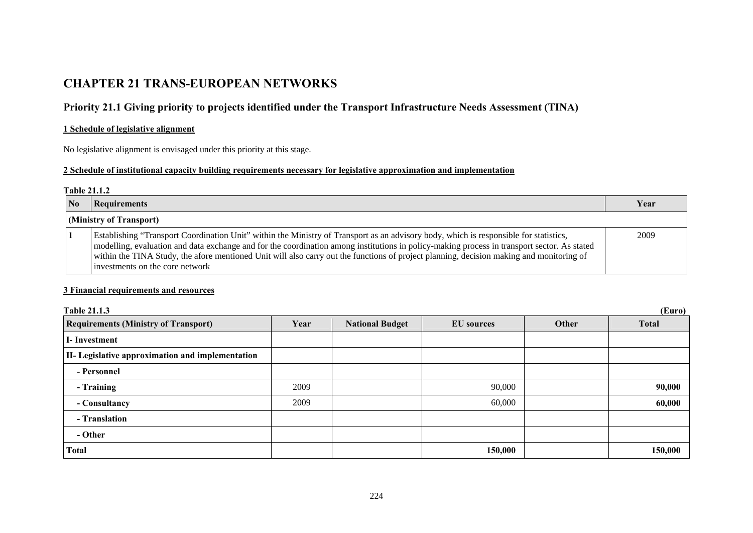# **CHAPTER 21 TRANS-EUROPEAN NETWORKS**

# **Priority 21.1 Giving priority to projects identified under the Transport Infrastructure Needs Assessment (TINA)**

### **1 Schedule of legislative alignment**

No legislative alignment is envisaged under this priority at this stage.

### **2 Schedule of institutional capacity building requirements necessary for legislative approximation and implementation**

#### **Table 21.1.2**

| No | <b>Requirements</b>                                                                                                                                                                                                                                                                                                                                                                                                                                                 | Year |
|----|---------------------------------------------------------------------------------------------------------------------------------------------------------------------------------------------------------------------------------------------------------------------------------------------------------------------------------------------------------------------------------------------------------------------------------------------------------------------|------|
|    | (Ministry of Transport)                                                                                                                                                                                                                                                                                                                                                                                                                                             |      |
|    | Establishing "Transport Coordination Unit" within the Ministry of Transport as an advisory body, which is responsible for statistics,<br>modelling, evaluation and data exchange and for the coordination among institutions in policy-making process in transport sector. As stated<br>within the TINA Study, the afore mentioned Unit will also carry out the functions of project planning, decision making and monitoring of<br>investments on the core network | 2009 |

### **3 Financial requirements and resources**

| (Euro)<br><b>Table 21.1.3</b>                           |      |                        |                   |       |              |
|---------------------------------------------------------|------|------------------------|-------------------|-------|--------------|
| <b>Requirements (Ministry of Transport)</b>             | Year | <b>National Budget</b> | <b>EU</b> sources | Other | <b>Total</b> |
| <b>I</b> -Investment                                    |      |                        |                   |       |              |
| <b>II-</b> Legislative approximation and implementation |      |                        |                   |       |              |
| - Personnel                                             |      |                        |                   |       |              |
| - Training                                              | 2009 |                        | 90,000            |       | 90,000       |
| - Consultancy                                           | 2009 |                        | 60,000            |       | 60,000       |
| - Translation                                           |      |                        |                   |       |              |
| - Other                                                 |      |                        |                   |       |              |
| <b>Total</b>                                            |      |                        | 150,000           |       | 150,000      |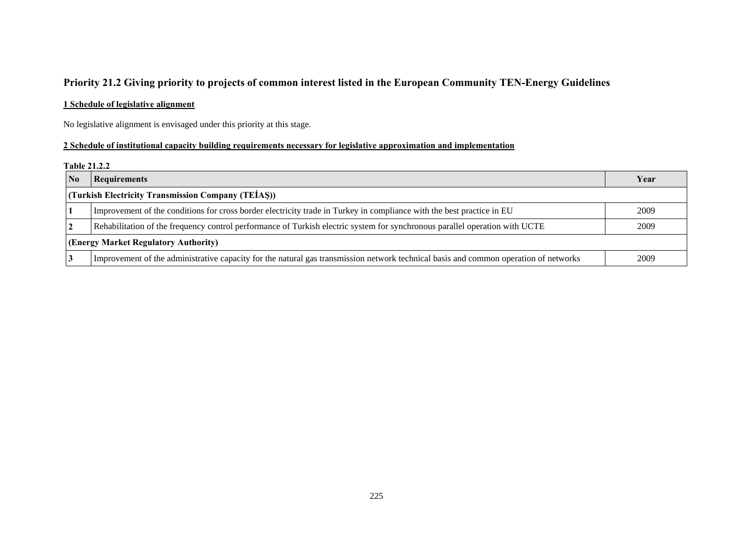## **Priority 21.2 Giving priority to projects of common interest listed in the European Community TEN-Energy Guidelines**

### **1 Schedule of legislative alignment**

No legislative alignment is envisaged under this priority at this stage.

### **2 Schedule of institutional capacity building requirements necessary for legislative approximation and implementation**

#### **Table 21.2.2**

| $\bf No$                             | <b>Requirements</b>                                                                                                                  | Year |  |  |  |
|--------------------------------------|--------------------------------------------------------------------------------------------------------------------------------------|------|--|--|--|
|                                      | (Turkish Electricity Transmission Company (TEIAS))                                                                                   |      |  |  |  |
|                                      | Improvement of the conditions for cross border electricity trade in Turkey in compliance with the best practice in EU                | 2009 |  |  |  |
|                                      | Rehabilitation of the frequency control performance of Turkish electric system for synchronous parallel operation with UCTE          | 2009 |  |  |  |
| (Energy Market Regulatory Authority) |                                                                                                                                      |      |  |  |  |
|                                      | Improvement of the administrative capacity for the natural gas transmission network technical basis and common operation of networks | 2009 |  |  |  |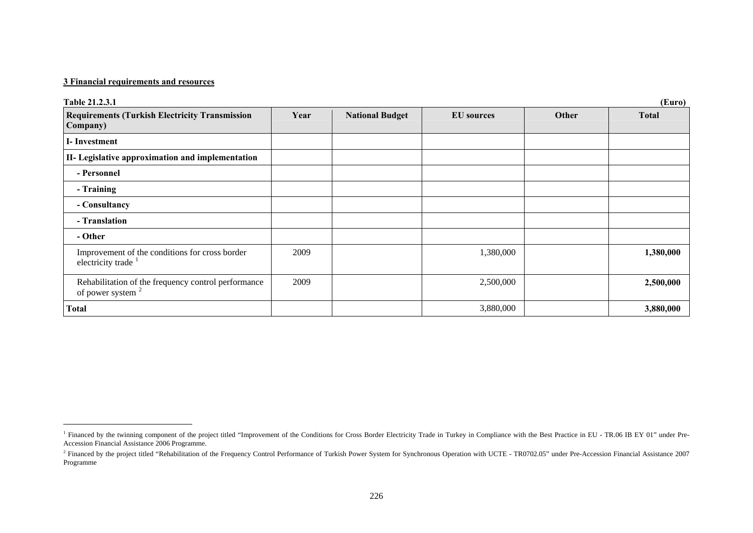### **3 Financial requirements and resources**

| Table 21.2.3.1<br>(Euro)                                                   |      |                        |                   |       |              |
|----------------------------------------------------------------------------|------|------------------------|-------------------|-------|--------------|
| <b>Requirements (Turkish Electricity Transmission</b><br>Company)          | Year | <b>National Budget</b> | <b>EU</b> sources | Other | <b>Total</b> |
| I-Investment                                                               |      |                        |                   |       |              |
| II- Legislative approximation and implementation                           |      |                        |                   |       |              |
| - Personnel                                                                |      |                        |                   |       |              |
| - Training                                                                 |      |                        |                   |       |              |
| - Consultancy                                                              |      |                        |                   |       |              |
| - Translation                                                              |      |                        |                   |       |              |
| - Other                                                                    |      |                        |                   |       |              |
| Improvement of the conditions for cross border<br>electricity trade        | 2009 |                        | 1,380,000         |       | 1,380,000    |
| Rehabilitation of the frequency control performance<br>of power system $2$ | 2009 |                        | 2,500,000         |       | 2,500,000    |
| Total                                                                      |      |                        | 3,880,000         |       | 3,880,000    |

<span id="page-2-0"></span><sup>&</sup>lt;sup>1</sup> Financed by the twinning component of the project titled "Improvement of the Conditions for Cross Border Electricity Trade in Turkey in Compliance with the Best Practice in EU - TR.06 IB EY 01" under Pre-Accession Financial Assistance 2006 Programme.

<span id="page-2-1"></span><sup>&</sup>lt;sup>2</sup> Financed by the project titled "Rehabilitation of the Frequency Control Performance of Turkish Power System for Synchronous Operation with UCTE - TR0702.05" under Pre-Accession Financial Assistance 2007 Programme